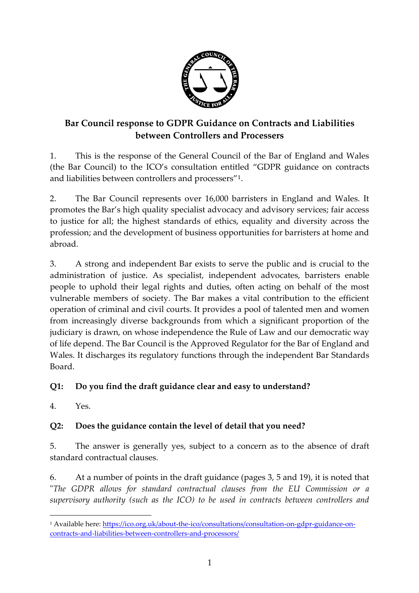

# **Bar Council response to GDPR Guidance on Contracts and Liabilities between Controllers and Processers**

1. This is the response of the General Council of the Bar of England and Wales (the Bar Council) to the ICO's consultation entitled "GDPR guidance on contracts and liabilities between controllers and processers"<sup>1</sup>.

2. The Bar Council represents over 16,000 barristers in England and Wales. It promotes the Bar's high quality specialist advocacy and advisory services; fair access to justice for all; the highest standards of ethics, equality and diversity across the profession; and the development of business opportunities for barristers at home and abroad.

3. A strong and independent Bar exists to serve the public and is crucial to the administration of justice. As specialist, independent advocates, barristers enable people to uphold their legal rights and duties, often acting on behalf of the most vulnerable members of society. The Bar makes a vital contribution to the efficient operation of criminal and civil courts. It provides a pool of talented men and women from increasingly diverse backgrounds from which a significant proportion of the judiciary is drawn, on whose independence the Rule of Law and our democratic way of life depend. The Bar Council is the Approved Regulator for the Bar of England and Wales. It discharges its regulatory functions through the independent Bar Standards Board.

## **Q1: Do you find the draft guidance clear and easy to understand?**

4. Yes.

 $\overline{a}$ 

## **Q2: Does the guidance contain the level of detail that you need?**

5. The answer is generally yes, subject to a concern as to the absence of draft standard contractual clauses.

6. At a number of points in the draft guidance (pages 3, 5 and 19), it is noted that "*The GDPR allows for standard contractual clauses from the EU Commission or a supervisory authority (such as the ICO) to be used in contracts between controllers and* 

<sup>1</sup> Available here[: https://ico.org.uk/about-the-ico/consultations/consultation-on-gdpr-guidance-on](https://ico.org.uk/about-the-ico/consultations/consultation-on-gdpr-guidance-on-contracts-and-liabilities-between-controllers-and-processors/)[contracts-and-liabilities-between-controllers-and-processors/](https://ico.org.uk/about-the-ico/consultations/consultation-on-gdpr-guidance-on-contracts-and-liabilities-between-controllers-and-processors/)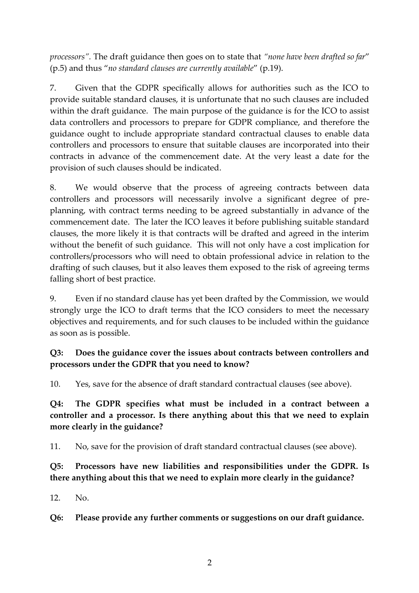*processors".* The draft guidance then goes on to state that *"none have been drafted so far*" (p.5) and thus "*no standard clauses are currently available*" (p.19).

7. Given that the GDPR specifically allows for authorities such as the ICO to provide suitable standard clauses, it is unfortunate that no such clauses are included within the draft guidance. The main purpose of the guidance is for the ICO to assist data controllers and processors to prepare for GDPR compliance, and therefore the guidance ought to include appropriate standard contractual clauses to enable data controllers and processors to ensure that suitable clauses are incorporated into their contracts in advance of the commencement date. At the very least a date for the provision of such clauses should be indicated.

8. We would observe that the process of agreeing contracts between data controllers and processors will necessarily involve a significant degree of preplanning, with contract terms needing to be agreed substantially in advance of the commencement date. The later the ICO leaves it before publishing suitable standard clauses, the more likely it is that contracts will be drafted and agreed in the interim without the benefit of such guidance. This will not only have a cost implication for controllers/processors who will need to obtain professional advice in relation to the drafting of such clauses, but it also leaves them exposed to the risk of agreeing terms falling short of best practice.

9. Even if no standard clause has yet been drafted by the Commission, we would strongly urge the ICO to draft terms that the ICO considers to meet the necessary objectives and requirements, and for such clauses to be included within the guidance as soon as is possible.

#### **Q3: Does the guidance cover the issues about contracts between controllers and processors under the GDPR that you need to know?**

10. Yes, save for the absence of draft standard contractual clauses (see above).

**Q4: The GDPR specifies what must be included in a contract between a controller and a processor. Is there anything about this that we need to explain more clearly in the guidance?**

11. No, save for the provision of draft standard contractual clauses (see above).

**Q5: Processors have new liabilities and responsibilities under the GDPR. Is there anything about this that we need to explain more clearly in the guidance?**

12. No.

**Q6: Please provide any further comments or suggestions on our draft guidance.**